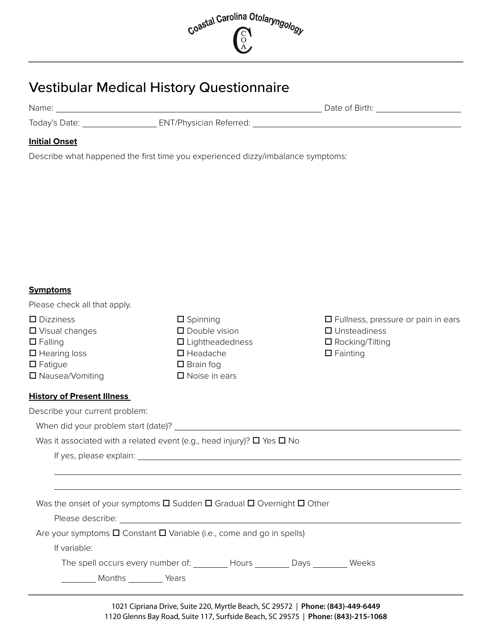

## Vestibular Medical History Questionnaire

Name: Date of Birth:

Today's Date: \_\_\_\_\_\_\_\_\_\_\_\_\_\_\_\_\_\_\_\_\_\_\_\_\_\_ ENT/Physician Referred: \_\_\_\_\_\_\_\_\_\_\_\_\_\_\_

## **Initial Onset**

Describe what happened the first time you experienced dizzy/imbalance symptoms:

## **Symptoms**

Please check all that apply.

| $\square$ Dizziness               | $\square$ Spinning                                                                                                     | $\Box$ Fullness, pressure or pain in ears |
|-----------------------------------|------------------------------------------------------------------------------------------------------------------------|-------------------------------------------|
| $\Box$ Visual changes             | $\square$ Double vision                                                                                                | $\Box$ Unsteadiness                       |
| $\Box$ Falling                    | $\Box$ Lightheadedness                                                                                                 | $\Box$ Rocking/Tilting                    |
| $\Box$ Hearing loss               | $\Box$ Headache                                                                                                        | $\Box$ Fainting                           |
| $\Box$ Fatigue                    | $\Box$ Brain fog                                                                                                       |                                           |
| □ Nausea/Vomiting                 | $\Box$ Noise in ears                                                                                                   |                                           |
| <b>History of Present Illness</b> |                                                                                                                        |                                           |
| Describe your current problem:    |                                                                                                                        |                                           |
|                                   |                                                                                                                        |                                           |
|                                   | Was it associated with a related event (e.g., head injury)? $\Box$ Yes $\Box$ No                                       |                                           |
|                                   |                                                                                                                        |                                           |
|                                   |                                                                                                                        |                                           |
|                                   |                                                                                                                        |                                           |
|                                   | Was the onset of your symptoms $\square$ Sudden $\square$ Gradual $\square$ Overnight $\square$ Other                  |                                           |
|                                   | Please describe: <u>contract and a series of the series of the series of the series of the series of the series of</u> |                                           |
|                                   | Are your symptoms $\square$ Constant $\square$ Variable (i.e., come and go in spells)                                  |                                           |
| If variable:                      |                                                                                                                        |                                           |
|                                   | The spell occurs every number of: ________ Hours ________ Days ________ Weeks                                          |                                           |
| Months _________ Years            |                                                                                                                        |                                           |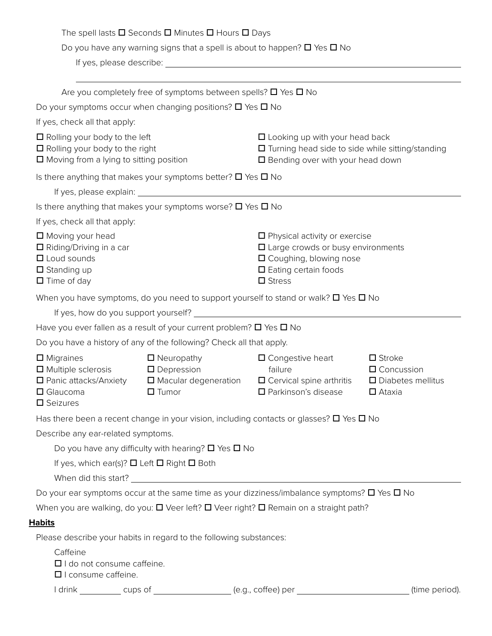| The spell lasts $\square$ Seconds $\square$ Minutes $\square$ Hours $\square$ Days |  |  |
|------------------------------------------------------------------------------------|--|--|
|------------------------------------------------------------------------------------|--|--|

Do you have any warning signs that a spell is about to happen?  $\square$  Yes  $\square$  No

If yes, please describe:

|                                                                                                                                 | Are you completely free of symptoms between spells? $\square$ Yes $\square$ No           |                                                                                                                                                                    |                                                                                       |
|---------------------------------------------------------------------------------------------------------------------------------|------------------------------------------------------------------------------------------|--------------------------------------------------------------------------------------------------------------------------------------------------------------------|---------------------------------------------------------------------------------------|
|                                                                                                                                 | Do your symptoms occur when changing positions? $\square$ Yes $\square$ No               |                                                                                                                                                                    |                                                                                       |
| If yes, check all that apply:                                                                                                   |                                                                                          |                                                                                                                                                                    |                                                                                       |
| $\Box$ Rolling your body to the left<br>$\Box$ Rolling your body to the right<br>$\Box$ Moving from a lying to sitting position |                                                                                          | $\Box$ Looking up with your head back<br>□ Turning head side to side while sitting/standing<br>$\square$ Bending over with your head down                          |                                                                                       |
|                                                                                                                                 | Is there anything that makes your symptoms better? $\square$ Yes $\square$ No            |                                                                                                                                                                    |                                                                                       |
|                                                                                                                                 |                                                                                          |                                                                                                                                                                    |                                                                                       |
|                                                                                                                                 | Is there anything that makes your symptoms worse? $\square$ Yes $\square$ No             |                                                                                                                                                                    |                                                                                       |
| If yes, check all that apply:                                                                                                   |                                                                                          |                                                                                                                                                                    |                                                                                       |
| □ Moving your head<br>$\Box$ Riding/Driving in a car<br>$\Box$ Loud sounds<br>$\square$ Standing up<br>$\Box$ Time of day       |                                                                                          | $\Box$ Physical activity or exercise<br>$\square$ Large crowds or busy environments<br>□ Coughing, blowing nose<br>$\Box$ Eating certain foods<br>$\square$ Stress |                                                                                       |
|                                                                                                                                 |                                                                                          | When you have symptoms, do you need to support yourself to stand or walk? $\square$ Yes $\square$ No                                                               |                                                                                       |
|                                                                                                                                 |                                                                                          |                                                                                                                                                                    |                                                                                       |
|                                                                                                                                 | Have you ever fallen as a result of your current problem? $\Box$ Yes $\Box$ No           |                                                                                                                                                                    |                                                                                       |
|                                                                                                                                 | Do you have a history of any of the following? Check all that apply.                     |                                                                                                                                                                    |                                                                                       |
| $\Box$ Migraines<br>$\Box$ Multiple sclerosis<br>$\Box$ Panic attacks/Anxiety<br>$\Box$ Glaucoma<br>$\square$ Seizures          | $\Box$ Neuropathy<br>$\square$ Depression<br>$\Box$ Macular degeneration<br>$\Box$ Tumor | $\Box$ Congestive heart<br>failure<br>$\Box$ Cervical spine arthritis<br>□ Parkinson's disease                                                                     | $\square$ Stroke<br>$\Box$ Concussion<br>$\square$ Diabetes mellitus<br>$\Box$ Ataxia |
|                                                                                                                                 |                                                                                          | Has there been a recent change in your vision, including contacts or glasses? $\square$ Yes $\square$ No                                                           |                                                                                       |
| Describe any ear-related symptoms.                                                                                              |                                                                                          |                                                                                                                                                                    |                                                                                       |
|                                                                                                                                 | Do you have any difficulty with hearing? $\Box$ Yes $\Box$ No                            |                                                                                                                                                                    |                                                                                       |
| If yes, which ear(s)? $\Box$ Left $\Box$ Right $\Box$ Both                                                                      |                                                                                          |                                                                                                                                                                    |                                                                                       |
|                                                                                                                                 |                                                                                          |                                                                                                                                                                    |                                                                                       |
|                                                                                                                                 |                                                                                          | Do your ear symptoms occur at the same time as your dizziness/imbalance symptoms? $\square$ Yes $\square$ No                                                       |                                                                                       |
|                                                                                                                                 |                                                                                          | When you are walking, do you: $\square$ Veer left? $\square$ Veer right? $\square$ Remain on a straight path?                                                      |                                                                                       |
| <b>Habits</b>                                                                                                                   |                                                                                          |                                                                                                                                                                    |                                                                                       |
|                                                                                                                                 | Please describe your habits in regard to the following substances:                       |                                                                                                                                                                    |                                                                                       |
| Caffeine<br>$\Box$ I do not consume caffeine.<br>$\Box$ I consume caffeine.                                                     |                                                                                          |                                                                                                                                                                    |                                                                                       |
|                                                                                                                                 |                                                                                          | I drink ___________ cups of ___________________ (e.g., coffee) per _____________                                                                                   | (time period).                                                                        |